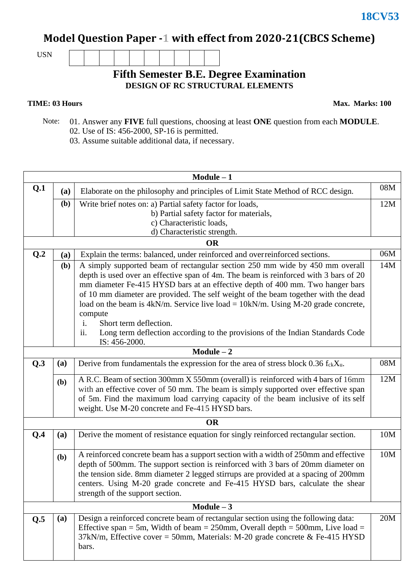## **Model Question Paper -1 with effect from 2020-21(CBCS Scheme)**

USN

## **Fifth Semester B.E. Degree Examination DESIGN OF RC STRUCTURAL ELEMENTS**

## **TIME: 03 Hours**

**Max. Marks: 100**

- Note: 01. Answer any **FIVE** full questions, choosing at least **ONE** question from each **MODULE**. 02. Use of IS: 456-2000, SP-16 is permitted.
	- 03. Assume suitable additional data, if necessary.

| $Module - 1$ |                                                                                         |                                                                                                       |     |  |  |  |  |  |  |
|--------------|-----------------------------------------------------------------------------------------|-------------------------------------------------------------------------------------------------------|-----|--|--|--|--|--|--|
| Q.1          | Elaborate on the philosophy and principles of Limit State Method of RCC design.<br>(a)  |                                                                                                       | 08M |  |  |  |  |  |  |
|              | (b)                                                                                     | Write brief notes on: a) Partial safety factor for loads,                                             |     |  |  |  |  |  |  |
|              |                                                                                         | b) Partial safety factor for materials,                                                               |     |  |  |  |  |  |  |
|              |                                                                                         | c) Characteristic loads,                                                                              |     |  |  |  |  |  |  |
|              |                                                                                         | d) Characteristic strength.                                                                           |     |  |  |  |  |  |  |
|              |                                                                                         | <b>OR</b>                                                                                             | 06M |  |  |  |  |  |  |
| Q.2          | Explain the terms: balanced, under reinforced and overreinforced sections.<br>(a)       |                                                                                                       |     |  |  |  |  |  |  |
|              | A simply supported beam of rectangular section 250 mm wide by 450 mm overall<br>(b)     |                                                                                                       |     |  |  |  |  |  |  |
|              |                                                                                         | depth is used over an effective span of 4m. The beam is reinforced with 3 bars of 20                  |     |  |  |  |  |  |  |
|              |                                                                                         | mm diameter Fe-415 HYSD bars at an effective depth of 400 mm. Two hanger bars                         |     |  |  |  |  |  |  |
|              | of 10 mm diameter are provided. The self weight of the beam together with the dead      |                                                                                                       |     |  |  |  |  |  |  |
|              |                                                                                         | load on the beam is $4kN/m$ . Service live load = $10kN/m$ . Using M-20 grade concrete,               |     |  |  |  |  |  |  |
|              |                                                                                         | compute                                                                                               |     |  |  |  |  |  |  |
|              |                                                                                         | i.<br>Short term deflection.                                                                          |     |  |  |  |  |  |  |
|              |                                                                                         | ii.<br>Long term deflection according to the provisions of the Indian Standards Code<br>IS: 456-2000. |     |  |  |  |  |  |  |
|              |                                                                                         | $Module - 2$                                                                                          |     |  |  |  |  |  |  |
| Q.3<br>(a)   |                                                                                         | Derive from fundamentals the expression for the area of stress block $0.36 f_{ck}X_u$ .               | 08M |  |  |  |  |  |  |
|              | A R.C. Beam of section 300mm X 550mm (overall) is reinforced with 4 bars of 16mm<br>(b) |                                                                                                       |     |  |  |  |  |  |  |
|              |                                                                                         | with an effective cover of 50 mm. The beam is simply supported over effective span                    |     |  |  |  |  |  |  |
|              |                                                                                         | of 5m. Find the maximum load carrying capacity of the beam inclusive of its self                      |     |  |  |  |  |  |  |
|              |                                                                                         | weight. Use M-20 concrete and Fe-415 HYSD bars.                                                       |     |  |  |  |  |  |  |
| <b>OR</b>    |                                                                                         |                                                                                                       |     |  |  |  |  |  |  |
| Q.4          | (a)                                                                                     | Derive the moment of resistance equation for singly reinforced rectangular section.                   | 10M |  |  |  |  |  |  |
|              | (b)                                                                                     | A reinforced concrete beam has a support section with a width of 250mm and effective                  | 10M |  |  |  |  |  |  |
|              |                                                                                         | depth of 500mm. The support section is reinforced with 3 bars of 20mm diameter on                     |     |  |  |  |  |  |  |
|              |                                                                                         | the tension side. 8mm diameter 2 legged stirrups are provided at a spacing of 200mm                   |     |  |  |  |  |  |  |
|              |                                                                                         | centers. Using M-20 grade concrete and Fe-415 HYSD bars, calculate the shear                          |     |  |  |  |  |  |  |
|              |                                                                                         | strength of the support section.                                                                      |     |  |  |  |  |  |  |
|              |                                                                                         | Module $-3$                                                                                           |     |  |  |  |  |  |  |
| Q.5          | (a)                                                                                     | Design a reinforced concrete beam of rectangular section using the following data:                    | 20M |  |  |  |  |  |  |
|              | Effective span = 5m, Width of beam = $250$ mm, Overall depth = $500$ mm, Live load =    |                                                                                                       |     |  |  |  |  |  |  |
|              | $37kN/m$ , Effective cover = 50mm, Materials: M-20 grade concrete & Fe-415 HYSD         |                                                                                                       |     |  |  |  |  |  |  |
|              |                                                                                         | bars.                                                                                                 |     |  |  |  |  |  |  |
|              |                                                                                         |                                                                                                       |     |  |  |  |  |  |  |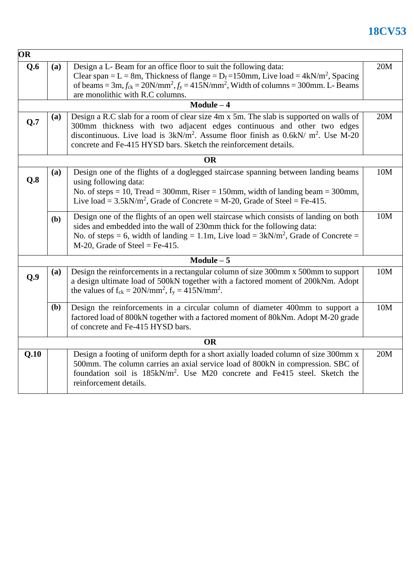## **18CV53**

| OR        |                                                                                                                                                                                                                                                                                                                                               |                                                                                                                                                                                                                                                                                                             |     |  |  |  |  |
|-----------|-----------------------------------------------------------------------------------------------------------------------------------------------------------------------------------------------------------------------------------------------------------------------------------------------------------------------------------------------|-------------------------------------------------------------------------------------------------------------------------------------------------------------------------------------------------------------------------------------------------------------------------------------------------------------|-----|--|--|--|--|
| Q.6       | (a)                                                                                                                                                                                                                                                                                                                                           | Design a L- Beam for an office floor to suit the following data:<br>Clear span = L = 8m, Thickness of flange = $D_f$ =150mm, Live load = 4kN/m <sup>2</sup> , Spacing<br>of beams = $3m$ , $f_{ck} = 20N/mm^2$ , $f_y = 415N/mm^2$ , Width of columns = 300mm. L- Beams<br>are monolithic with R.C columns. |     |  |  |  |  |
|           |                                                                                                                                                                                                                                                                                                                                               | $Module - 4$                                                                                                                                                                                                                                                                                                | 20M |  |  |  |  |
| Q.7       | Design a R.C slab for a room of clear size 4m x 5m. The slab is supported on walls of<br>(a)<br>300mm thickness with two adjacent edges continuous and other two edges<br>discontinuous. Live load is $3kN/m^2$ . Assume floor finish as 0.6kN/ m <sup>2</sup> . Use M-20<br>concrete and Fe-415 HYSD bars. Sketch the reinforcement details. |                                                                                                                                                                                                                                                                                                             |     |  |  |  |  |
| <b>OR</b> |                                                                                                                                                                                                                                                                                                                                               |                                                                                                                                                                                                                                                                                                             |     |  |  |  |  |
| Q.8       | (a)                                                                                                                                                                                                                                                                                                                                           | Design one of the flights of a doglegged staircase spanning between landing beams<br>using following data:<br>No. of steps = 10, Tread = 300mm, Riser = 150mm, width of landing beam = 300mm,<br>Live load = $3.5$ kN/m <sup>2</sup> , Grade of Concrete = M-20, Grade of Steel = Fe-415.                   |     |  |  |  |  |
|           | (b)                                                                                                                                                                                                                                                                                                                                           | Design one of the flights of an open well staircase which consists of landing on both<br>sides and embedded into the wall of 230mm thick for the following data:<br>No. of steps = 6, width of landing = 1.1m, Live load = $3kN/m^2$ , Grade of Concrete =<br>$M-20$ , Grade of Steel = Fe-415.             | 10M |  |  |  |  |
|           |                                                                                                                                                                                                                                                                                                                                               | $Module - 5$                                                                                                                                                                                                                                                                                                |     |  |  |  |  |
| Q.9       | (a)                                                                                                                                                                                                                                                                                                                                           | Design the reinforcements in a rectangular column of size 300mm x 500mm to support<br>a design ultimate load of 500kN together with a factored moment of 200kNm. Adopt<br>the values of $f_{ck} = 20N/mm^2$ , $f_y = 415N/mm^2$ .                                                                           | 10M |  |  |  |  |
|           | ( <b>b</b> )                                                                                                                                                                                                                                                                                                                                  | Design the reinforcements in a circular column of diameter 400mm to support a<br>factored load of 800kN together with a factored moment of 80kNm. Adopt M-20 grade<br>of concrete and Fe-415 HYSD bars.                                                                                                     | 10M |  |  |  |  |
|           |                                                                                                                                                                                                                                                                                                                                               | <b>OR</b>                                                                                                                                                                                                                                                                                                   |     |  |  |  |  |
| Q.10      | Design a footing of uniform depth for a short axially loaded column of size 300mm x<br>500mm. The column carries an axial service load of 800kN in compression. SBC of<br>foundation soil is 185kN/m <sup>2</sup> . Use M20 concrete and Fe415 steel. Sketch the<br>reinforcement details.                                                    |                                                                                                                                                                                                                                                                                                             |     |  |  |  |  |